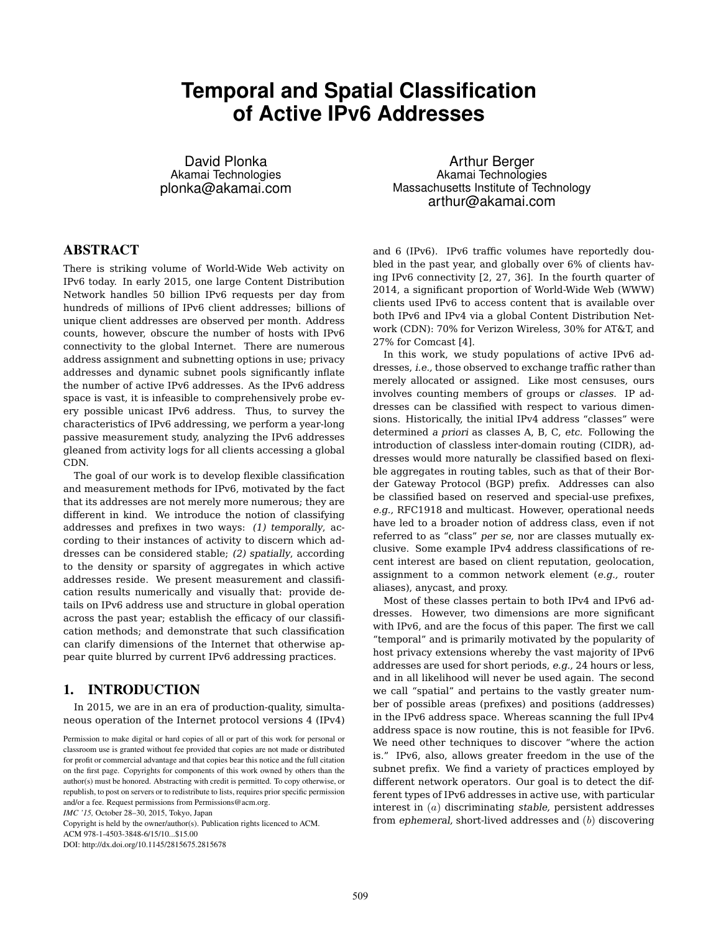# **Temporal and Spatial Classification of Active IPv6 Addresses**

David Plonka Akamai Technologies plonka@akamai.com

# **ABSTRACT**

There is striking volume of World-Wide Web activity on IPv6 today. In early 2015, one large Content Distribution Network handles 50 billion IPv6 requests per day from hundreds of millions of IPv6 client addresses; billions of unique client addresses are observed per month. Address counts, however, obscure the number of hosts with IPv6 connectivity to the global Internet. There are numerous address assignment and subnetting options in use; privacy addresses and dynamic subnet pools significantly inflate the number of active IPv6 addresses. As the IPv6 address space is vast, it is infeasible to comprehensively probe every possible unicast IPv6 address. Thus, to survey the characteristics of IPv6 addressing, we perform a year-long passive measurement study, analyzing the IPv6 addresses gleaned from activity logs for all clients accessing a global CDN.

The goal of our work is to develop flexible classification and measurement methods for IPv6, motivated by the fact that its addresses are not merely more numerous; they are different in kind. We introduce the notion of classifying addresses and prefixes in two ways: *(1) temporally*, according to their instances of activity to discern which addresses can be considered stable; *(2) spatially*, according to the density or sparsity of aggregates in which active addresses reside. We present measurement and classification results numerically and visually that: provide details on IPv6 address use and structure in global operation across the past year; establish the efficacy of our classification methods; and demonstrate that such classification can clarify dimensions of the Internet that otherwise appear quite blurred by current IPv6 addressing practices.

# 1. INTRODUCTION

In 2015, we are in an era of production-quality, simultaneous operation of the Internet protocol versions 4 (IPv4)

Copyright is held by the owner/author(s). Publication rights licenced to ACM.

ACM 978-1-4503-3848-6/15/10...\$15.00

DOI: http://dx.doi.org/10.1145/2815675.2815678

Arthur Berger Akamai Technologies Massachusetts Institute of Technology arthur@akamai.com

and 6 (IPv6). IPv6 traffic volumes have reportedly doubled in the past year, and globally over 6% of clients having IPv6 connectivity [2, 27, 36]. In the fourth quarter of 2014, a significant proportion of World-Wide Web (WWW) clients used IPv6 to access content that is available over both IPv6 and IPv4 via a global Content Distribution Network (CDN): 70% for Verizon Wireless, 30% for AT&T, and 27% for Comcast [4].

In this work, we study populations of active IPv6 addresses, *i.e.,* those observed to exchange traffic rather than merely allocated or assigned. Like most censuses, ours involves counting members of groups or *classes.* IP addresses can be classified with respect to various dimensions. Historically, the initial IPv4 address "classes" were determined *a priori* as classes A, B, C, *etc.* Following the introduction of classless inter-domain routing (CIDR), addresses would more naturally be classified based on flexible aggregates in routing tables, such as that of their Border Gateway Protocol (BGP) prefix. Addresses can also be classified based on reserved and special-use prefixes, *e.g.,* RFC1918 and multicast. However, operational needs have led to a broader notion of address class, even if not referred to as "class" *per se,* nor are classes mutually exclusive. Some example IPv4 address classifications of recent interest are based on client reputation, geolocation, assignment to a common network element (*e.g.,* router aliases), anycast, and proxy.

Most of these classes pertain to both IPv4 and IPv6 addresses. However, two dimensions are more significant with IPv6, and are the focus of this paper. The first we call "temporal" and is primarily motivated by the popularity of host privacy extensions whereby the vast majority of IPv6 addresses are used for short periods, *e.g.,* 24 hours or less, and in all likelihood will never be used again. The second we call "spatial" and pertains to the vastly greater number of possible areas (prefixes) and positions (addresses) in the IPv6 address space. Whereas scanning the full IPv4 address space is now routine, this is not feasible for IPv6. We need other techniques to discover "where the action is." IPv6, also, allows greater freedom in the use of the subnet prefix. We find a variety of practices employed by different network operators. Our goal is to detect the different types of IPv6 addresses in active use, with particular interest in (*a*) discriminating *stable,* persistent addresses from *ephemeral,* short-lived addresses and (*b*) discovering

Permission to make digital or hard copies of all or part of this work for personal or classroom use is granted without fee provided that copies are not made or distributed for profit or commercial advantage and that copies bear this notice and the full citation on the first page. Copyrights for components of this work owned by others than the author(s) must be honored. Abstracting with credit is permitted. To copy otherwise, or republish, to post on servers or to redistribute to lists, requires prior specific permission and/or a fee. Request permissions from Permissions@acm.org. *IMC '15,* October 28–30, 2015, Tokyo, Japan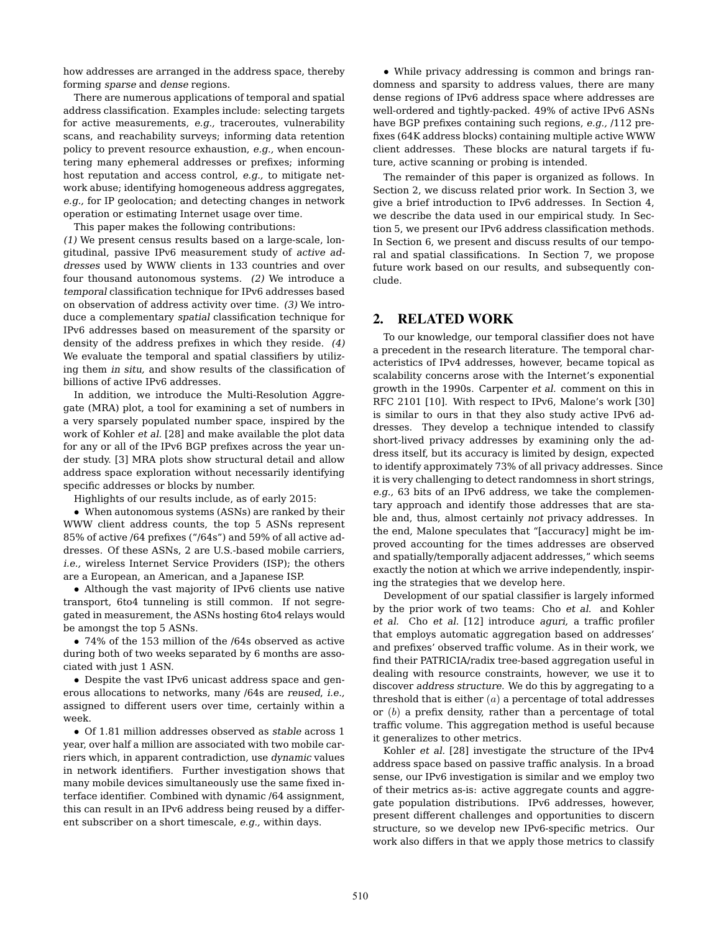how addresses are arranged in the address space, thereby forming *sparse* and *dense* regions.

There are numerous applications of temporal and spatial address classification. Examples include: selecting targets for active measurements, *e.g.,* traceroutes, vulnerability scans, and reachability surveys; informing data retention policy to prevent resource exhaustion, *e.g.,* when encountering many ephemeral addresses or prefixes; informing host reputation and access control, *e.g.,* to mitigate network abuse; identifying homogeneous address aggregates, *e.g.,* for IP geolocation; and detecting changes in network operation or estimating Internet usage over time.

This paper makes the following contributions:

*(1)* We present census results based on a large-scale, longitudinal, passive IPv6 measurement study of *active addresses* used by WWW clients in 133 countries and over four thousand autonomous systems. *(2)* We introduce a *temporal* classification technique for IPv6 addresses based on observation of address activity over time. *(3)* We introduce a complementary *spatial* classification technique for IPv6 addresses based on measurement of the sparsity or density of the address prefixes in which they reside. *(4)* We evaluate the temporal and spatial classifiers by utilizing them *in situ,* and show results of the classification of billions of active IPv6 addresses.

In addition, we introduce the Multi-Resolution Aggregate (MRA) plot, a tool for examining a set of numbers in a very sparsely populated number space, inspired by the work of Kohler *et al.* [28] and make available the plot data for any or all of the IPv6 BGP prefixes across the year under study. [3] MRA plots show structural detail and allow address space exploration without necessarily identifying specific addresses or blocks by number.

Highlights of our results include, as of early 2015:

*•* When autonomous systems (ASNs) are ranked by their WWW client address counts, the top 5 ASNs represent 85% of active /64 prefixes ("/64s") and 59% of all active addresses. Of these ASNs, 2 are U.S.-based mobile carriers, *i.e.,* wireless Internet Service Providers (ISP); the others are a European, an American, and a Japanese ISP.

*•* Although the vast majority of IPv6 clients use native transport, 6to4 tunneling is still common. If not segregated in measurement, the ASNs hosting 6to4 relays would be amongst the top 5 ASNs.

*•* 74% of the 153 million of the /64s observed as active during both of two weeks separated by 6 months are associated with just 1 ASN.

*•* Despite the vast IPv6 unicast address space and generous allocations to networks, many /64s are *reused*, *i.e.,* assigned to different users over time, certainly within a week.

*•* Of 1.81 million addresses observed as *stable* across 1 year, over half a million are associated with two mobile carriers which, in apparent contradiction, use *dynamic* values in network identifiers. Further investigation shows that many mobile devices simultaneously use the same fixed interface identifier. Combined with dynamic /64 assignment, this can result in an IPv6 address being reused by a different subscriber on a short timescale, *e.g.,* within days.

*•* While privacy addressing is common and brings randomness and sparsity to address values, there are many dense regions of IPv6 address space where addresses are well-ordered and tightly-packed. 49% of active IPv6 ASNs have BGP prefixes containing such regions, *e.g.,* /112 prefixes (64K address blocks) containing multiple active WWW client addresses. These blocks are natural targets if future, active scanning or probing is intended.

The remainder of this paper is organized as follows. In Section 2, we discuss related prior work. In Section 3, we give a brief introduction to IPv6 addresses. In Section 4, we describe the data used in our empirical study. In Section 5, we present our IPv6 address classification methods. In Section 6, we present and discuss results of our temporal and spatial classifications. In Section 7, we propose future work based on our results, and subsequently conclude.

#### 2. RELATED WORK

To our knowledge, our temporal classifier does not have a precedent in the research literature. The temporal characteristics of IPv4 addresses, however, became topical as scalability concerns arose with the Internet's exponential growth in the 1990s. Carpenter *et al.* comment on this in RFC 2101 [10]. With respect to IPv6, Malone's work [30] is similar to ours in that they also study active IPv6 addresses. They develop a technique intended to classify short-lived privacy addresses by examining only the address itself, but its accuracy is limited by design, expected to identify approximately 73% of all privacy addresses. Since it is very challenging to detect randomness in short strings, *e.g.,* 63 bits of an IPv6 address, we take the complementary approach and identify those addresses that are stable and, thus, almost certainly *not* privacy addresses. In the end, Malone speculates that "[accuracy] might be improved accounting for the times addresses are observed and spatially/temporally adjacent addresses," which seems exactly the notion at which we arrive independently, inspiring the strategies that we develop here.

Development of our spatial classifier is largely informed by the prior work of two teams: Cho *et al.* and Kohler *et al.* Cho *et al.* [12] introduce *aguri,* a traffic profiler that employs automatic aggregation based on addresses' and prefixes' observed traffic volume. As in their work, we find their PATRICIA/radix tree-based aggregation useful in dealing with resource constraints, however, we use it to discover *address structure.* We do this by aggregating to a threshold that is either (*a*) a percentage of total addresses or (*b*) a prefix density, rather than a percentage of total traffic volume. This aggregation method is useful because it generalizes to other metrics.

Kohler *et al.* [28] investigate the structure of the IPv4 address space based on passive traffic analysis. In a broad sense, our IPv6 investigation is similar and we employ two of their metrics as-is: active aggregate counts and aggregate population distributions. IPv6 addresses, however, present different challenges and opportunities to discern structure, so we develop new IPv6-specific metrics. Our work also differs in that we apply those metrics to classify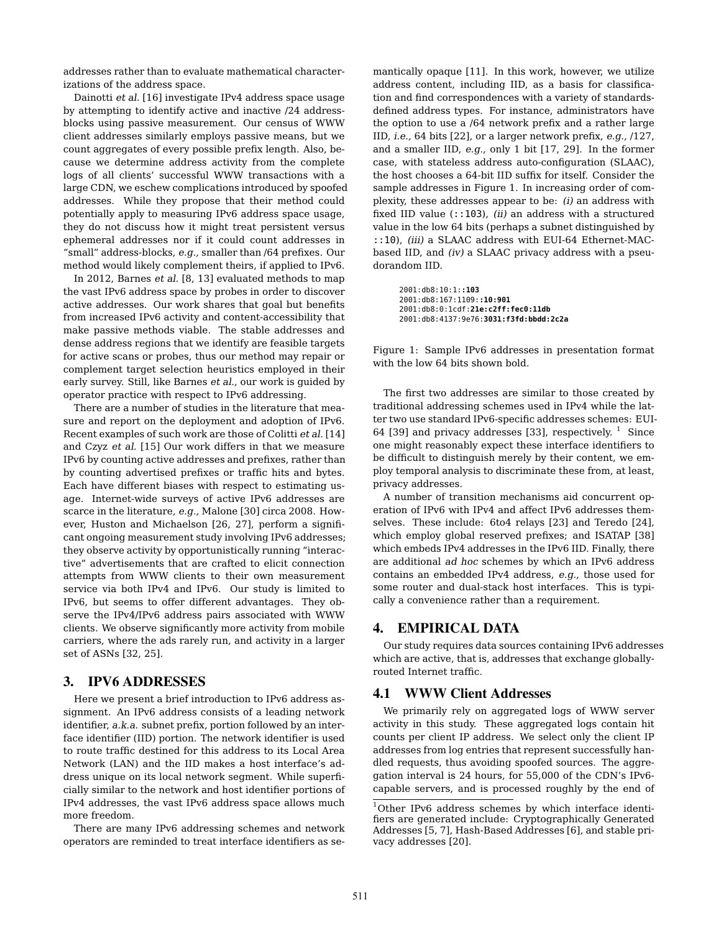addresses rather than to evaluate mathematical characterizations of the address space.

Dainotti *et al.* [16] investigate IPv4 address space usage by attempting to identify active and inactive /24 addressblocks using passive measurement. Our census of WWW client addresses similarly employs passive means, but we count aggregates of every possible prefix length. Also, because we determine address activity from the complete logs of all clients' successful WWW transactions with a large CDN, we eschew complications introduced by spoofed addresses. While they propose that their method could potentially apply to measuring IPv6 address space usage, they do not discuss how it might treat persistent versus ephemeral addresses nor if it could count addresses in "small" address-blocks, *e.g.,* smaller than /64 prefixes. Our method would likely complement theirs, if applied to IPv6.

In 2012, Barnes *et al.* [8, 13] evaluated methods to map the vast IPv6 address space by probes in order to discover active addresses. Our work shares that goal but benefits from increased IPv6 activity and content-accessibility that make passive methods viable. The stable addresses and dense address regions that we identify are feasible targets for active scans or probes, thus our method may repair or complement target selection heuristics employed in their early survey. Still, like Barnes *et al.,* our work is guided by operator practice with respect to IPv6 addressing.

There are a number of studies in the literature that measure and report on the deployment and adoption of IPv6. Recent examples of such work are those of Colitti *et al.* [14] and Czyz *et al.* [15] Our work differs in that we measure IPv6 by counting active addresses and prefixes, rather than by counting advertised prefixes or traffic hits and bytes. Each have different biases with respect to estimating usage. Internet-wide surveys of active IPv6 addresses are scarce in the literature, *e.g.,* Malone [30] circa 2008. However, Huston and Michaelson [26, 27], perform a significant ongoing measurement study involving IPv6 addresses; they observe activity by opportunistically running "interactive" advertisements that are crafted to elicit connection attempts from WWW clients to their own measurement service via both IPv4 and IPv6. Our study is limited to IPv6, but seems to offer different advantages. They observe the IPv4/IPv6 address pairs associated with WWW clients. We observe significantly more activity from mobile carriers, where the ads rarely run, and activity in a larger set of ASNs [32, 25].

## 3. IPV6 ADDRESSES

Here we present a brief introduction to IPv6 address assignment. An IPv6 address consists of a leading network identifier, *a.k.a.* subnet prefix, portion followed by an interface identifier (IID) portion. The network identifier is used to route traffic destined for this address to its Local Area Network (LAN) and the IID makes a host interface's address unique on its local network segment. While superficially similar to the network and host identifier portions of IPv4 addresses, the vast IPv6 address space allows much more freedom.

There are many IPv6 addressing schemes and network operators are reminded to treat interface identifiers as semantically opaque [11]. In this work, however, we utilize address content, including IID, as a basis for classification and find correspondences with a variety of standardsdefined address types. For instance, administrators have the option to use a /64 network prefix and a rather large IID, *i.e.,* 64 bits [22], or a larger network prefix, *e.g.,* /127, and a smaller IID, *e.g.,* only 1 bit [17, 29]. In the former case, with stateless address auto-configuration (SLAAC), the host chooses a 64-bit IID suffix for itself. Consider the sample addresses in Figure 1. In increasing order of complexity, these addresses appear to be: *(i)* an address with fixed IID value (::103), *(ii)* an address with a structured value in the low 64 bits (perhaps a subnet distinguished by ::10), *(iii)* a SLAAC address with EUI-64 Ethernet-MACbased IID, and *(iv)* a SLAAC privacy address with a pseudorandom IID.

2001:db8:10:1:**:103** 2001:db8:167:1109:**:10:901** 2001:db8:0:1cdf:**21e:c2ff:fec0:11db** 2001:db8:4137:9e76:**3031:f3fd:bbdd:2c2a**

Figure 1: Sample IPv6 addresses in presentation format with the low 64 bits shown bold.

The first two addresses are similar to those created by traditional addressing schemes used in IPv4 while the latter two use standard IPv6-specific addresses schemes: EUI-64 [39] and privacy addresses [33], respectively.  $1$  Since one might reasonably expect these interface identifiers to be difficult to distinguish merely by their content, we employ temporal analysis to discriminate these from, at least, privacy addresses.

A number of transition mechanisms aid concurrent operation of IPv6 with IPv4 and affect IPv6 addresses themselves. These include: 6to4 relays [23] and Teredo [24], which employ global reserved prefixes; and ISATAP [38] which embeds IPv4 addresses in the IPv6 IID. Finally, there are additional *ad hoc* schemes by which an IPv6 address contains an embedded IPv4 address, *e.g.,* those used for some router and dual-stack host interfaces. This is typically a convenience rather than a requirement.

## 4. EMPIRICAL DATA

Our study requires data sources containing IPv6 addresses which are active, that is, addresses that exchange globallyrouted Internet traffic.

## 4.1 WWW Client Addresses

We primarily rely on aggregated logs of WWW server activity in this study. These aggregated logs contain hit counts per client IP address. We select only the client IP addresses from log entries that represent successfully handled requests, thus avoiding spoofed sources. The aggregation interval is 24 hours, for 55,000 of the CDN's IPv6 capable servers, and is processed roughly by the end of

<sup>1</sup>Other IPv6 address schemes by which interface identifiers are generated include: Cryptographically Generated Addresses [5, 7], Hash-Based Addresses [6], and stable privacy addresses [20].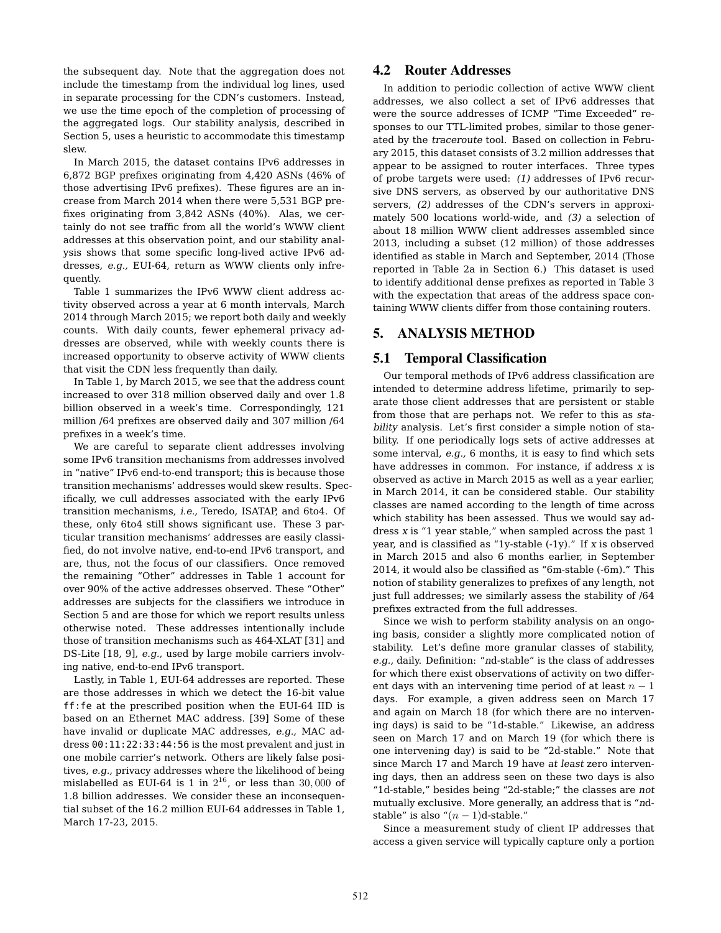the subsequent day. Note that the aggregation does not include the timestamp from the individual log lines, used in separate processing for the CDN's customers. Instead, we use the time epoch of the completion of processing of the aggregated logs. Our stability analysis, described in Section 5, uses a heuristic to accommodate this timestamp slew.

In March 2015, the dataset contains IPv6 addresses in 6,872 BGP prefixes originating from 4,420 ASNs (46% of those advertising IPv6 prefixes). These figures are an increase from March 2014 when there were 5,531 BGP prefixes originating from 3,842 ASNs (40%). Alas, we certainly do not see traffic from all the world's WWW client addresses at this observation point, and our stability analysis shows that some specific long-lived active IPv6 addresses, *e.g.,* EUI-64, return as WWW clients only infrequently.

Table 1 summarizes the IPv6 WWW client address activity observed across a year at 6 month intervals, March 2014 through March 2015; we report both daily and weekly counts. With daily counts, fewer ephemeral privacy addresses are observed, while with weekly counts there is increased opportunity to observe activity of WWW clients that visit the CDN less frequently than daily.

In Table 1, by March 2015, we see that the address count increased to over 318 million observed daily and over 1.8 billion observed in a week's time. Correspondingly, 121 million /64 prefixes are observed daily and 307 million /64 prefixes in a week's time.

We are careful to separate client addresses involving some IPv6 transition mechanisms from addresses involved in "native" IPv6 end-to-end transport; this is because those transition mechanisms' addresses would skew results. Specifically, we cull addresses associated with the early IPv6 transition mechanisms, *i.e.,* Teredo, ISATAP, and 6to4. Of these, only 6to4 still shows significant use. These 3 particular transition mechanisms' addresses are easily classified, do not involve native, end-to-end IPv6 transport, and are, thus, not the focus of our classifiers. Once removed the remaining "Other" addresses in Table 1 account for over 90% of the active addresses observed. These "Other" addresses are subjects for the classifiers we introduce in Section 5 and are those for which we report results unless otherwise noted. These addresses intentionally include those of transition mechanisms such as 464-XLAT [31] and DS-Lite [18, 9], *e.g.,* used by large mobile carriers involving native, end-to-end IPv6 transport.

Lastly, in Table 1, EUI-64 addresses are reported. These are those addresses in which we detect the 16-bit value ff:fe at the prescribed position when the EUI-64 IID is based on an Ethernet MAC address. [39] Some of these have invalid or duplicate MAC addresses, *e.g.,* MAC address 00:11:22:33:44:56 is the most prevalent and just in one mobile carrier's network. Others are likely false positives, *e.g.,* privacy addresses where the likelihood of being mislabelled as EUI-64 is 1 in  $2^{16}$ , or less than 30,000 of 1.8 billion addresses. We consider these an inconsequential subset of the 16.2 million EUI-64 addresses in Table 1, March 17-23, 2015.

# 4.2 Router Addresses

In addition to periodic collection of active WWW client addresses, we also collect a set of IPv6 addresses that were the source addresses of ICMP "Time Exceeded" responses to our TTL-limited probes, similar to those generated by the *traceroute* tool. Based on collection in February 2015, this dataset consists of 3.2 million addresses that appear to be assigned to router interfaces. Three types of probe targets were used: *(1)* addresses of IPv6 recursive DNS servers, as observed by our authoritative DNS servers, *(2)* addresses of the CDN's servers in approximately 500 locations world-wide, and *(3)* a selection of about 18 million WWW client addresses assembled since 2013, including a subset (12 million) of those addresses identified as stable in March and September, 2014 (Those reported in Table 2a in Section 6.) This dataset is used to identify additional dense prefixes as reported in Table 3 with the expectation that areas of the address space containing WWW clients differ from those containing routers.

# 5. ANALYSIS METHOD

#### 5.1 Temporal Classification

Our temporal methods of IPv6 address classification are intended to determine address lifetime, primarily to separate those client addresses that are persistent or stable from those that are perhaps not. We refer to this as *stability* analysis. Let's first consider a simple notion of stability. If one periodically logs sets of active addresses at some interval, *e.g.,* 6 months, it is easy to find which sets have addresses in common. For instance, if address *x* is observed as active in March 2015 as well as a year earlier, in March 2014, it can be considered stable. Our stability classes are named according to the length of time across which stability has been assessed. Thus we would say address *x* is "1 year stable," when sampled across the past 1 year, and is classified as "1y-stable (-1y)." If *x* is observed in March 2015 and also 6 months earlier, in September 2014, it would also be classified as "6m-stable (-6m)." This notion of stability generalizes to prefixes of any length, not just full addresses; we similarly assess the stability of /64 prefixes extracted from the full addresses.

Since we wish to perform stability analysis on an ongoing basis, consider a slightly more complicated notion of stability. Let's define more granular classes of stability, *e.g.,* daily. Definition: "*n*d-stable" is the class of addresses for which there exist observations of activity on two different days with an intervening time period of at least  $n-1$ days. For example, a given address seen on March 17 and again on March 18 (for which there are no intervening days) is said to be "1d-stable." Likewise, an address seen on March 17 and on March 19 (for which there is one intervening day) is said to be "2d-stable." Note that since March 17 and March 19 have *at least* zero intervening days, then an address seen on these two days is also "1d-stable," besides being "2d-stable;" the classes are *not* mutually exclusive. More generally, an address that is "*n*dstable" is also " $(n-1)d$ -stable."

Since a measurement study of client IP addresses that access a given service will typically capture only a portion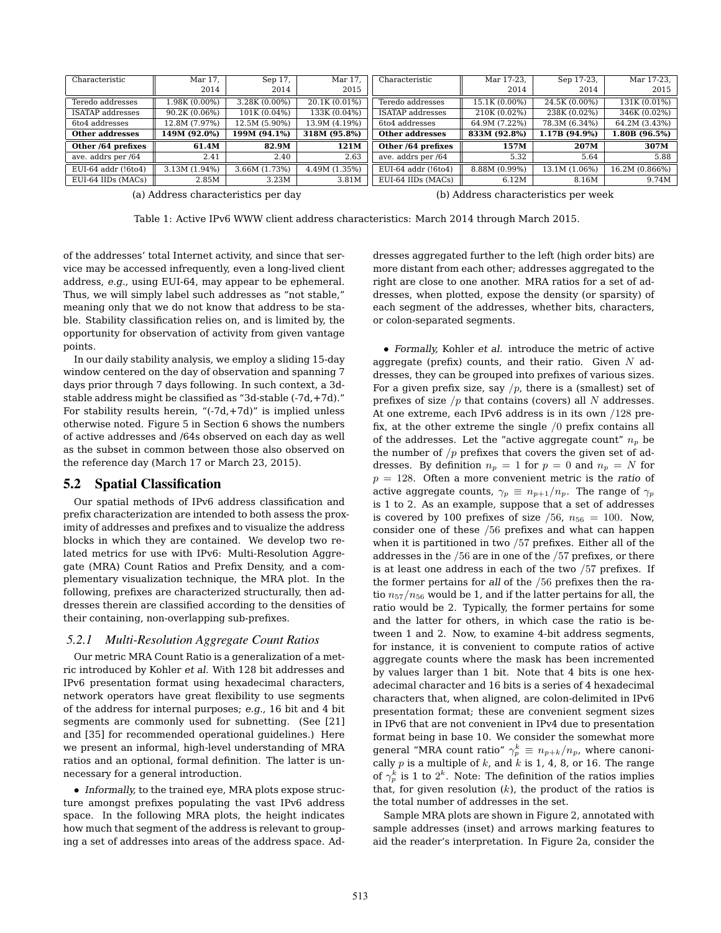| Characteristic         | Mar 17.       | Sep 17,       | Mar 17,       | Characteristic         | Mar 17-23,    | Sep 17-23,    | Mar 17-23,     |
|------------------------|---------------|---------------|---------------|------------------------|---------------|---------------|----------------|
|                        | 2014          | 2014          | 2015          |                        | 2014          | 2014          | 2015           |
| Teredo addresses       | 1.98K (0.00%) | 3.28K (0.00%) | 20.1K (0.01%) | Teredo addresses       | 15.1K (0.00%) | 24.5K (0.00%) | 131K (0.01%)   |
| ISATAP addresses       | 90.2K (0.06%) | 101K (0.04%)  | 133K (0.04%)  | ISATAP addresses       | 210K (0.02%)  | 238K (0.02%)  | 346K (0.02%)   |
| 6to4 addresses         | 12.8M (7.97%) | 12.5M (5.90%) | 13.9M (4.19%) | 6to4 addresses         | 64.9M (7.22%) | 78.3M (6.34%) | 64.2M (3.43%)  |
| <b>Other addresses</b> | 149M (92.0%)  | 199M (94.1%)  | 318M (95.8%)  | <b>Other addresses</b> | 833M (92.8%)  | 1.17B (94.9%) | 1.80B (96.5%)  |
| Other /64 prefixes     | 61.4M         | 82.9M         | 121M          | Other /64 prefixes     | 157M          | 207M          | 307M           |
| ave. addrs per /64     | 2.41          | 2.40          | 2.63          | ave. addrs per /64     | 5.32          | 5.64          | 5.88           |
| EUI-64 addr (!6to4)    | 3.13M (1.94%) | 3.66M (1.73%) | 4.49M (1.35%) | EUI-64 addr (!6to4)    | 8.88M (0.99%) | 13.1M (1.06%) | 16.2M (0.866%) |
| EUI-64 IIDs (MACs)     | 2.85M         | 3.23M         | 3.81M         | EUI-64 IIDs (MACs)     | 6.12M         | 8.16M         | 9.74M          |

(a) Address characteristics per day

(b) Address characteristics per week

Table 1: Active IPv6 WWW client address characteristics: March 2014 through March 2015.

of the addresses' total Internet activity, and since that service may be accessed infrequently, even a long-lived client address, *e.g.,* using EUI-64, may appear to be ephemeral. Thus, we will simply label such addresses as "not stable," meaning only that we do not know that address to be stable. Stability classification relies on, and is limited by, the opportunity for observation of activity from given vantage points.

In our daily stability analysis, we employ a sliding 15-day window centered on the day of observation and spanning 7 days prior through 7 days following. In such context, a 3dstable address might be classified as "3d-stable (-7d,+7d)." For stability results herein, "(-7d,+7d)" is implied unless otherwise noted. Figure 5 in Section 6 shows the numbers of active addresses and /64s observed on each day as well as the subset in common between those also observed on the reference day (March 17 or March 23, 2015).

#### 5.2 Spatial Classification

Our spatial methods of IPv6 address classification and prefix characterization are intended to both assess the proximity of addresses and prefixes and to visualize the address blocks in which they are contained. We develop two related metrics for use with IPv6: Multi-Resolution Aggregate (MRA) Count Ratios and Prefix Density, and a complementary visualization technique, the MRA plot. In the following, prefixes are characterized structurally, then addresses therein are classified according to the densities of their containing, non-overlapping sub-prefixes.

#### *5.2.1 Multi-Resolution Aggregate Count Ratios*

Our metric MRA Count Ratio is a generalization of a metric introduced by Kohler *et al.* With 128 bit addresses and IPv6 presentation format using hexadecimal characters, network operators have great flexibility to use segments of the address for internal purposes; *e.g.,* 16 bit and 4 bit segments are commonly used for subnetting. (See [21] and [35] for recommended operational guidelines.) Here we present an informal, high-level understanding of MRA ratios and an optional, formal definition. The latter is unnecessary for a general introduction.

*• Informally,* to the trained eye, MRA plots expose structure amongst prefixes populating the vast IPv6 address space. In the following MRA plots, the height indicates how much that segment of the address is relevant to grouping a set of addresses into areas of the address space. Addresses aggregated further to the left (high order bits) are more distant from each other; addresses aggregated to the right are close to one another. MRA ratios for a set of addresses, when plotted, expose the density (or sparsity) of each segment of the addresses, whether bits, characters, or colon-separated segments.

*• Formally,* Kohler *et al.* introduce the metric of active aggregate (prefix) counts, and their ratio. Given *N* addresses, they can be grouped into prefixes of various sizes. For a given prefix size, say  $/p$ , there is a (smallest) set of prefixes of size */p* that contains (covers) all *N* addresses. At one extreme, each IPv6 address is in its own */*128 prefix, at the other extreme the single */*0 prefix contains all of the addresses. Let the "active aggregate count"  $n_p$  be the number of */p* prefixes that covers the given set of addresses. By definition  $n_p = 1$  for  $p = 0$  and  $n_p = N$  for *p* = 128. Often a more convenient metric is the *ratio* of active aggregate counts,  $\gamma_p \equiv n_{p+1}/n_p$ . The range of  $\gamma_p$ is 1 to 2. As an example, suppose that a set of addresses is covered by 100 prefixes of size  $/56$ ,  $n_{56} = 100$ . Now, consider one of these */*56 prefixes and what can happen when it is partitioned in two */*57 prefixes. Either all of the addresses in the */*56 are in one of the */*57 prefixes, or there is at least one address in each of the two */*57 prefixes. If the former pertains for *all* of the */*56 prefixes then the ratio *n*57*/n*<sup>56</sup> would be 1, and if the latter pertains for all, the ratio would be 2. Typically, the former pertains for some and the latter for others, in which case the ratio is between 1 and 2. Now, to examine 4-bit address segments, for instance, it is convenient to compute ratios of active aggregate counts where the mask has been incremented by values larger than 1 bit. Note that 4 bits is one hexadecimal character and 16 bits is a series of 4 hexadecimal characters that, when aligned, are colon-delimited in IPv6 presentation format; these are convenient segment sizes in IPv6 that are not convenient in IPv4 due to presentation format being in base 10. We consider the somewhat more general "MRA count ratio"  $\gamma_p^k \equiv n_{p+k}/n_p$ , where canonically *p* is a multiple of *k*, and *k* is 1, 4, 8, or 16. The range of  $\gamma_p^k$  is 1 to  $2^k$ . Note: The definition of the ratios implies that, for given resolution (*k*), the product of the ratios is the total number of addresses in the set.

Sample MRA plots are shown in Figure 2, annotated with sample addresses (inset) and arrows marking features to aid the reader's interpretation. In Figure 2a, consider the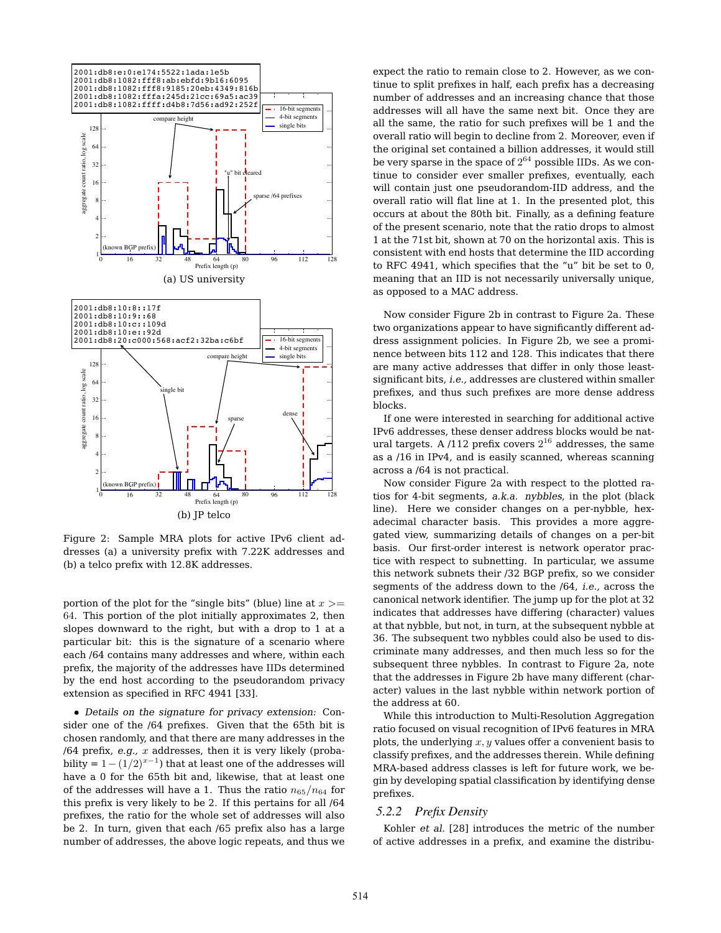

Figure 2: Sample MRA plots for active IPv6 client addresses (a) a university prefix with 7.22K addresses and (b) a telco prefix with 12.8K addresses.

portion of the plot for the "single bits" (blue) line at *x >*= 64. This portion of the plot initially approximates 2, then slopes downward to the right, but with a drop to 1 at a particular bit: this is the signature of a scenario where each /64 contains many addresses and where, within each prefix, the majority of the addresses have IIDs determined by the end host according to the pseudorandom privacy extension as specified in RFC 4941 [33].

*• Details on the signature for privacy extension:* Consider one of the /64 prefixes. Given that the 65th bit is chosen randomly, and that there are many addresses in the /64 prefix, *e.g., x* addresses, then it is very likely (probability =  $1-(1/2)^{x-1}$ ) that at least one of the addresses will have a 0 for the 65th bit and, likewise, that at least one of the addresses will have a 1. Thus the ratio  $n_{65}/n_{64}$  for this prefix is very likely to be 2. If this pertains for all /64 prefixes, the ratio for the whole set of addresses will also be 2. In turn, given that each /65 prefix also has a large number of addresses, the above logic repeats, and thus we expect the ratio to remain close to 2. However, as we continue to split prefixes in half, each prefix has a decreasing number of addresses and an increasing chance that those addresses will all have the same next bit. Once they are all the same, the ratio for such prefixes will be 1 and the overall ratio will begin to decline from 2. Moreover, even if the original set contained a billion addresses, it would still be very sparse in the space of  $2^{64}$  possible IIDs. As we continue to consider ever smaller prefixes, eventually, each will contain just one pseudorandom-IID address, and the overall ratio will flat line at 1. In the presented plot, this occurs at about the 80th bit. Finally, as a defining feature of the present scenario, note that the ratio drops to almost 1 at the 71st bit, shown at 70 on the horizontal axis. This is consistent with end hosts that determine the IID according to RFC 4941, which specifies that the "u" bit be set to 0, meaning that an IID is not necessarily universally unique, as opposed to a MAC address.

Now consider Figure 2b in contrast to Figure 2a. These two organizations appear to have significantly different address assignment policies. In Figure 2b, we see a prominence between bits 112 and 128. This indicates that there are many active addresses that differ in only those leastsignificant bits, *i.e.,* addresses are clustered within smaller prefixes, and thus such prefixes are more dense address blocks.

If one were interested in searching for additional active IPv6 addresses, these denser address blocks would be natural targets. A  $/112$  prefix covers  $2^{16}$  addresses, the same as a /16 in IPv4, and is easily scanned, whereas scanning across a /64 is not practical.

Now consider Figure 2a with respect to the plotted ratios for 4-bit segments, *a.k.a. nybbles*, in the plot (black line). Here we consider changes on a per-nybble, hexadecimal character basis. This provides a more aggregated view, summarizing details of changes on a per-bit basis. Our first-order interest is network operator practice with respect to subnetting. In particular, we assume this network subnets their /32 BGP prefix, so we consider segments of the address down to the /64, *i.e.,* across the canonical network identifier. The jump up for the plot at 32 indicates that addresses have differing (character) values at that nybble, but not, in turn, at the subsequent nybble at 36. The subsequent two nybbles could also be used to discriminate many addresses, and then much less so for the subsequent three nybbles. In contrast to Figure 2a, note that the addresses in Figure 2b have many different (character) values in the last nybble within network portion of the address at 60.

While this introduction to Multi-Resolution Aggregation ratio focused on visual recognition of IPv6 features in MRA plots, the underlying *x, y* values offer a convenient basis to classify prefixes, and the addresses therein. While defining MRA-based address classes is left for future work, we begin by developing spatial classification by identifying dense prefixes.

#### *5.2.2 Prefix Density*

Kohler *et al.* [28] introduces the metric of the number of active addresses in a prefix, and examine the distribu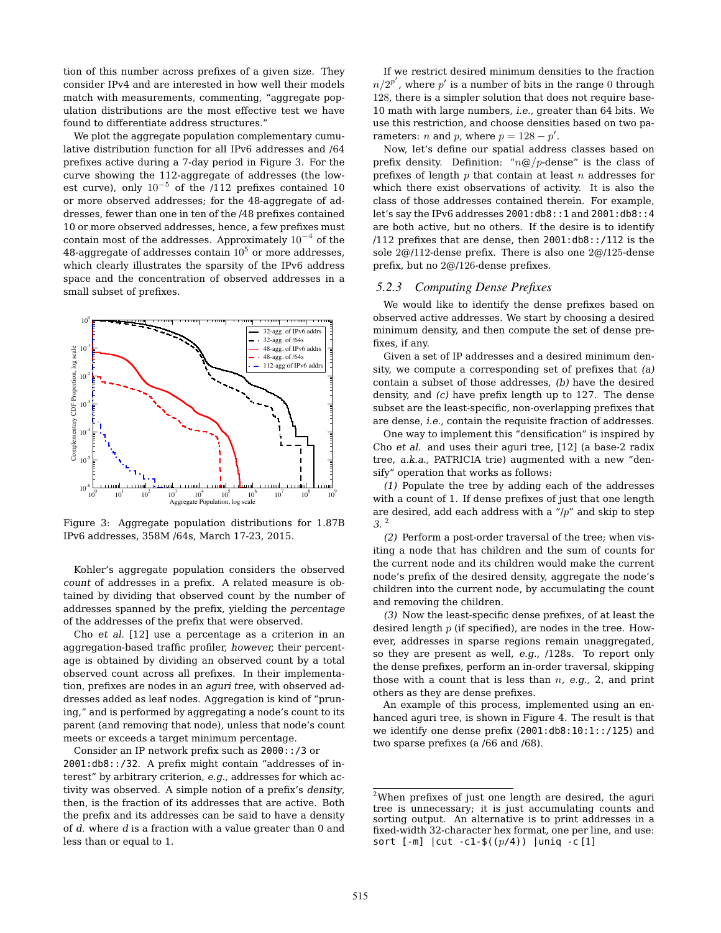tion of this number across prefixes of a given size. They consider IPv4 and are interested in how well their models match with measurements, commenting, "aggregate population distributions are the most effective test we have found to differentiate address structures."

We plot the aggregate population complementary cumulative distribution function for all IPv6 addresses and /64 prefixes active during a 7-day period in Figure 3. For the curve showing the 112-aggregate of addresses (the lowest curve), only  $10^{-5}$  of the /112 prefixes contained 10 or more observed addresses; for the 48-aggregate of addresses, fewer than one in ten of the /48 prefixes contained 10 or more observed addresses, hence, a few prefixes must contain most of the addresses. Approximately  $10^{-4}$  of the 48-aggregate of addresses contain  $10^5$  or more addresses, which clearly illustrates the sparsity of the IPv6 address space and the concentration of observed addresses in a small subset of prefixes.



Figure 3: Aggregate population distributions for 1.87B IPv6 addresses, 358M /64s, March 17-23, 2015.

Kohler's aggregate population considers the observed *count* of addresses in a prefix. A related measure is obtained by dividing that observed count by the number of addresses spanned by the prefix, yielding the *percentage* of the addresses of the prefix that were observed.

Cho *et al.* [12] use a percentage as a criterion in an aggregation-based traffic profiler, *however,* their percentage is obtained by dividing an observed count by a total observed count across all prefixes. In their implementation, prefixes are nodes in an *aguri tree,* with observed addresses added as leaf nodes. Aggregation is kind of "pruning," and is performed by aggregating a node's count to its parent (and removing that node), unless that node's count meets or exceeds a target minimum percentage.

Consider an IP network prefix such as 2000::/3 or 2001:db8::/32. A prefix might contain "addresses of interest" by arbitrary criterion, *e.g.,* addresses for which activity was observed. A simple notion of a prefix's *density*, then, is the fraction of its addresses that are active. Both the prefix and its addresses can be said to have a density of *d*. where *d* is a fraction with a value greater than 0 and less than or equal to 1.

If we restrict desired minimum densities to the fraction  $n/2^{p'}$  , where  $p'$  is a number of bits in the range  $0$  through 128, there is a simpler solution that does not require base-10 math with large numbers, *i.e.,* greater than 64 bits. We use this restriction, and choose densities based on two parameters: *n* and *p*, where  $p = 128 - p'$ .

Now, let's define our spatial address classes based on prefix density. Definition: "*n*@*/p*-dense" is the class of prefixes of length *p* that contain at least *n* addresses for which there exist observations of activity. It is also the class of those addresses contained therein. For example, let's say the IPv6 addresses 2001:db8::1 and 2001:db8::4 are both active, but no others. If the desire is to identify /112 prefixes that are dense, then 2001:db8::/112 is the sole 2@/112-dense prefix. There is also one 2@/125-dense prefix, but no 2@/126-dense prefixes.

#### *5.2.3 Computing Dense Prefixes*

We would like to identify the dense prefixes based on observed active addresses. We start by choosing a desired minimum density, and then compute the set of dense prefixes, if any.

Given a set of IP addresses and a desired minimum density, we compute a corresponding set of prefixes that *(a)* contain a subset of those addresses, *(b)* have the desired density, and *(c)* have prefix length up to 127. The dense subset are the least-specific, non-overlapping prefixes that are dense, *i.e.,* contain the requisite fraction of addresses.

One way to implement this "densification" is inspired by Cho *et al.* and uses their aguri tree, [12] (a base-2 radix tree, *a.k.a.,* PATRICIA trie) augmented with a new "densify" operation that works as follows:

*(1)* Populate the tree by adding each of the addresses with a count of 1. If dense prefixes of just that one length are desired, add each address with a "/*p*" and skip to step *3*. <sup>2</sup>

*(2)* Perform a post-order traversal of the tree; when visiting a node that has children and the sum of counts for the current node and its children would make the current node's prefix of the desired density, aggregate the node's children into the current node, by accumulating the count and removing the children.

*(3)* Now the least-specific dense prefixes, of at least the desired length *p* (if specified), are nodes in the tree. However, addresses in sparse regions remain unaggregated, so they are present as well, *e.g.,* /128s. To report only the dense prefixes, perform an in-order traversal, skipping those with a count that is less than *n*, *e.g.,* 2, and print others as they are dense prefixes.

An example of this process, implemented using an enhanced aguri tree, is shown in Figure 4. The result is that we identify one dense prefix (2001:db8:10:1::/125) and two sparse prefixes (a /66 and /68).

 $2$ When prefixes of just one length are desired, the aguri tree is unnecessary; it is just accumulating counts and sorting output. An alternative is to print addresses in a fixed-width 32-character hex format, one per line, and use: sort [-m] |cut -c1-\$((*p*/4)) |uniq -c [1]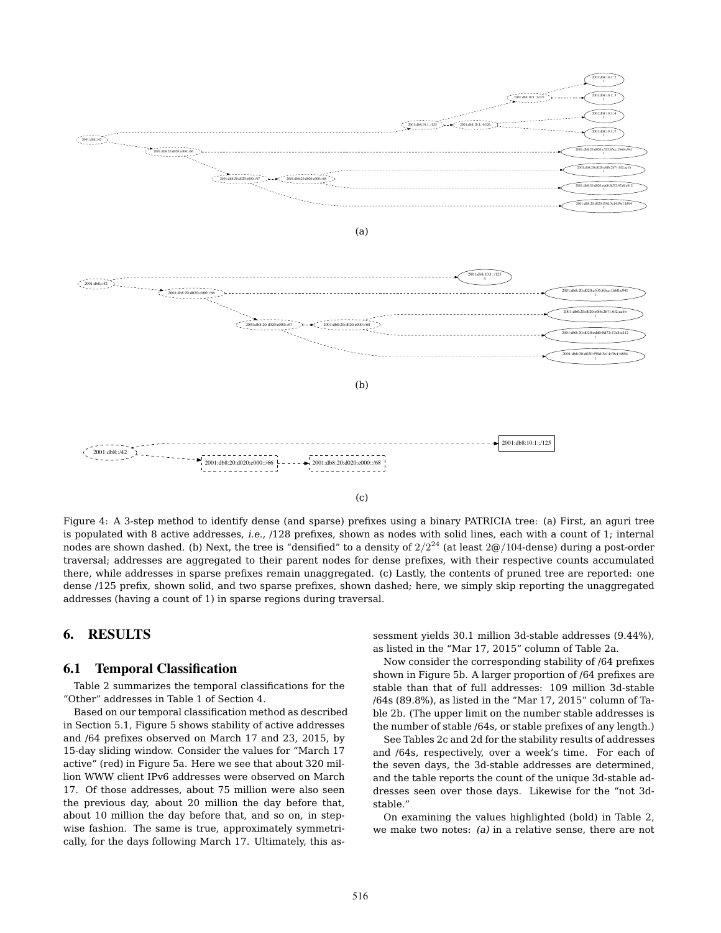

Figure 4: A 3-step method to identify dense (and sparse) prefixes using a binary PATRICIA tree: (a) First, an aguri tree is populated with 8 active addresses, *i.e.,* /128 prefixes, shown as nodes with solid lines, each with a count of 1; internal nodes are shown dashed. (b) Next, the tree is "densified" to a density of 2*/*2<sup>24</sup> (at least 2@*/*104-dense) during a post-order traversal; addresses are aggregated to their parent nodes for dense prefixes, with their respective counts accumulated there, while addresses in sparse prefixes remain unaggregated. (c) Lastly, the contents of pruned tree are reported: one dense /125 prefix, shown solid, and two sparse prefixes, shown dashed; here, we simply skip reporting the unaggregated addresses (having a count of 1) in sparse regions during traversal.

# 6. RESULTS

#### 6.1 Temporal Classification

Table 2 summarizes the temporal classifications for the "Other" addresses in Table 1 of Section 4.

Based on our temporal classification method as described in Section 5.1, Figure 5 shows stability of active addresses and /64 prefixes observed on March 17 and 23, 2015, by 15-day sliding window. Consider the values for "March 17 active" (red) in Figure 5a. Here we see that about 320 million WWW client IPv6 addresses were observed on March 17. Of those addresses, about 75 million were also seen the previous day, about 20 million the day before that, about 10 million the day before that, and so on, in stepwise fashion. The same is true, approximately symmetrically, for the days following March 17. Ultimately, this assessment yields 30.1 million 3d-stable addresses (9.44%), as listed in the "Mar 17, 2015" column of Table 2a.

Now consider the corresponding stability of /64 prefixes shown in Figure 5b. A larger proportion of /64 prefixes are stable than that of full addresses: 109 million 3d-stable /64s (89.8%), as listed in the "Mar 17, 2015" column of Table 2b. (The upper limit on the number stable addresses is the number of stable /64s, or stable prefixes of any length.)

See Tables 2c and 2d for the stability results of addresses and /64s, respectively, over a week's time. For each of the seven days, the 3d-stable addresses are determined, and the table reports the count of the unique 3d-stable addresses seen over those days. Likewise for the "not 3dstable."

On examining the values highlighted (bold) in Table 2, we make two notes: *(a)* in a relative sense, there are not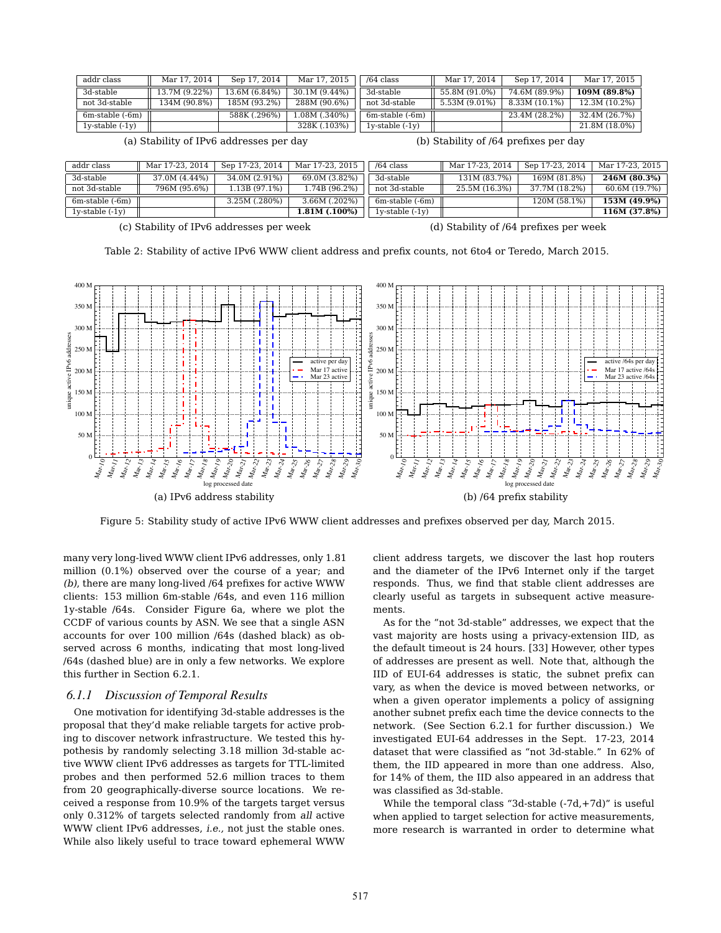| addr class        | Mar 17, 2014  | Sep 17, 2014  | Mar 17, 2015  | $/64$ class          | Mar 17, 2014  | Sep 17, 2014  | Mar 17, 2015  |
|-------------------|---------------|---------------|---------------|----------------------|---------------|---------------|---------------|
| 3d-stable         | 13.7M (9.22%) | 13.6M (6.84%) | 30.1M (9.44%) | 3d-stable            | 55.8M (91.0%) | 74.6M (89.9%) | 109M (89.8%)  |
| not 3d-stable     | 134M (90.8%)  | 185M (93.2%)  | 288M (90.6%)  | not 3d-stable        | 5.53M (9.01%) | 8.33M (10.1%) | 12.3M (10.2%) |
| 6m-stable (-6m)   |               | 588K (.296%)  | 1.08M (.340%) | $6m$ -stable $(-6m)$ |               | 23.4M (28.2%) | 32.4M (26.7%) |
| $1y-stable (-1y)$ |               |               | 328K (.103%)  | $1v$ -stable $(-1v)$ |               |               | 21.8M (18.0%) |

(a) Stability of IPv6 addresses per day

(b) Stability of /64 prefixes per day

| addr class           | Mar 17-23, 2014 | Sep 17-23, 2014 | Mar 17-23, 2015 | $/64$ class          | Mar 17-23. 2014 | Sep 17-23, 2014 | Mar 17-23, 2015 |
|----------------------|-----------------|-----------------|-----------------|----------------------|-----------------|-----------------|-----------------|
| 3d-stable            | 37.0M (4.44%)   | 34.0M (2.91%)   | 69.0M (3.82%)   | 3d-stable            | 131M (83.7%)    | 169M (81.8%)    | 246M (80.3%)    |
| not 3d-stable        | 796M (95.6%)    | .13B (97.1%)    | 1.74B (96.2%)   | not 3d-stable        | 25.5M (16.3%)   | 37.7M (18.2%)   | 60.6M (19.7%)   |
| 6m-stable (-6m)      |                 | 3.25M (.280%)   | 3.66M (.202%)   | $6m$ -stable $(-6m)$ |                 | 120M (58.1%)    | 153M (49.9%)    |
| $1v$ -stable $(-1v)$ |                 |                 | 1.81M (.100%)   | $1v$ -stable $(-1v)$ |                 |                 | 116M (37.8%)    |
|                      |                 |                 |                 |                      |                 |                 |                 |

(c) Stability of IPv6 addresses per week

(d) Stability of /64 prefixes per week

Table 2: Stability of active IPv6 WWW client address and prefix counts, not 6to4 or Teredo, March 2015.



Figure 5: Stability study of active IPv6 WWW client addresses and prefixes observed per day, March 2015.

many very long-lived WWW client IPv6 addresses, only 1.81 million (0.1%) observed over the course of a year; and *(b)*, there are many long-lived /64 prefixes for active WWW clients: 153 million 6m-stable /64s, and even 116 million 1y-stable /64s. Consider Figure 6a, where we plot the CCDF of various counts by ASN. We see that a single ASN accounts for over 100 million /64s (dashed black) as observed across 6 months, indicating that most long-lived /64s (dashed blue) are in only a few networks. We explore this further in Section 6.2.1.

#### *6.1.1 Discussion of Temporal Results*

One motivation for identifying 3d-stable addresses is the proposal that they'd make reliable targets for active probing to discover network infrastructure. We tested this hypothesis by randomly selecting 3.18 million 3d-stable active WWW client IPv6 addresses as targets for TTL-limited probes and then performed 52.6 million traces to them from 20 geographically-diverse source locations. We received a response from 10.9% of the targets target versus only 0.312% of targets selected randomly from *all* active WWW client IPv6 addresses, *i.e.,* not just the stable ones. While also likely useful to trace toward ephemeral WWW client address targets, we discover the last hop routers and the diameter of the IPv6 Internet only if the target responds. Thus, we find that stable client addresses are clearly useful as targets in subsequent active measurements.

As for the "not 3d-stable" addresses, we expect that the vast majority are hosts using a privacy-extension IID, as the default timeout is 24 hours. [33] However, other types of addresses are present as well. Note that, although the IID of EUI-64 addresses is static, the subnet prefix can vary, as when the device is moved between networks, or when a given operator implements a policy of assigning another subnet prefix each time the device connects to the network. (See Section 6.2.1 for further discussion.) We investigated EUI-64 addresses in the Sept. 17-23, 2014 dataset that were classified as "not 3d-stable." In 62% of them, the IID appeared in more than one address. Also, for 14% of them, the IID also appeared in an address that was classified as 3d-stable.

While the temporal class "3d-stable  $(-7d,+7d)$ " is useful when applied to target selection for active measurements, more research is warranted in order to determine what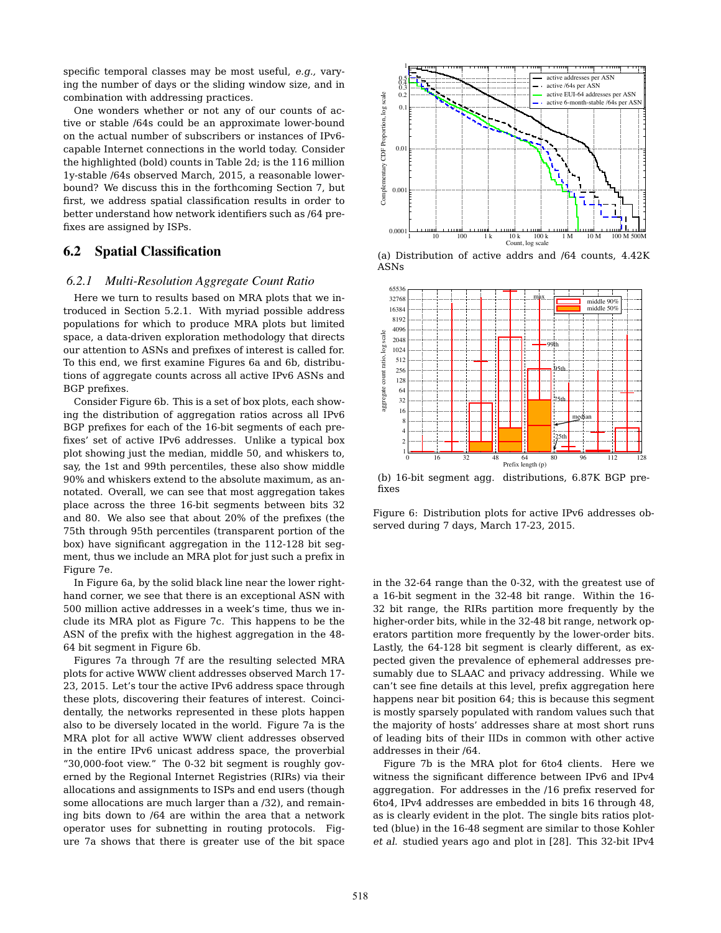specific temporal classes may be most useful, *e.g.,* varying the number of days or the sliding window size, and in combination with addressing practices.

One wonders whether or not any of our counts of active or stable /64s could be an approximate lower-bound on the actual number of subscribers or instances of IPv6 capable Internet connections in the world today. Consider the highlighted (bold) counts in Table 2d; is the 116 million 1y-stable /64s observed March, 2015, a reasonable lowerbound? We discuss this in the forthcoming Section 7, but first, we address spatial classification results in order to better understand how network identifiers such as /64 prefixes are assigned by ISPs.

# 6.2 Spatial Classification

#### *6.2.1 Multi-Resolution Aggregate Count Ratio*

Here we turn to results based on MRA plots that we introduced in Section 5.2.1. With myriad possible address populations for which to produce MRA plots but limited space, a data-driven exploration methodology that directs our attention to ASNs and prefixes of interest is called for. To this end, we first examine Figures 6a and 6b, distributions of aggregate counts across all active IPv6 ASNs and BGP prefixes.

Consider Figure 6b. This is a set of box plots, each showing the distribution of aggregation ratios across all IPv6 BGP prefixes for each of the 16-bit segments of each prefixes' set of active IPv6 addresses. Unlike a typical box plot showing just the median, middle 50, and whiskers to, say, the 1st and 99th percentiles, these also show middle 90% and whiskers extend to the absolute maximum, as annotated. Overall, we can see that most aggregation takes place across the three 16-bit segments between bits 32 and 80. We also see that about 20% of the prefixes (the 75th through 95th percentiles (transparent portion of the box) have significant aggregation in the 112-128 bit segment, thus we include an MRA plot for just such a prefix in Figure 7e.

In Figure 6a, by the solid black line near the lower righthand corner, we see that there is an exceptional ASN with 500 million active addresses in a week's time, thus we include its MRA plot as Figure 7c. This happens to be the ASN of the prefix with the highest aggregation in the 48- 64 bit segment in Figure 6b.

Figures 7a through 7f are the resulting selected MRA plots for active WWW client addresses observed March 17- 23, 2015. Let's tour the active IPv6 address space through these plots, discovering their features of interest. Coincidentally, the networks represented in these plots happen also to be diversely located in the world. Figure 7a is the MRA plot for all active WWW client addresses observed in the entire IPv6 unicast address space, the proverbial "30,000-foot view." The 0-32 bit segment is roughly governed by the Regional Internet Registries (RIRs) via their allocations and assignments to ISPs and end users (though some allocations are much larger than a /32), and remaining bits down to /64 are within the area that a network operator uses for subnetting in routing protocols. Figure 7a shows that there is greater use of the bit space



(a) Distribution of active addrs and /64 counts, 4.42K ASNs



(b) 16-bit segment agg. distributions, 6.87K BGP prefixes

Figure 6: Distribution plots for active IPv6 addresses observed during 7 days, March 17-23, 2015.

in the 32-64 range than the 0-32, with the greatest use of a 16-bit segment in the 32-48 bit range. Within the 16- 32 bit range, the RIRs partition more frequently by the higher-order bits, while in the 32-48 bit range, network operators partition more frequently by the lower-order bits. Lastly, the 64-128 bit segment is clearly different, as expected given the prevalence of ephemeral addresses presumably due to SLAAC and privacy addressing. While we can't see fine details at this level, prefix aggregation here happens near bit position 64; this is because this segment is mostly sparsely populated with random values such that the majority of hosts' addresses share at most short runs of leading bits of their IIDs in common with other active addresses in their /64.

Figure 7b is the MRA plot for 6to4 clients. Here we witness the significant difference between IPv6 and IPv4 aggregation. For addresses in the /16 prefix reserved for 6to4, IPv4 addresses are embedded in bits 16 through 48, as is clearly evident in the plot. The single bits ratios plotted (blue) in the 16-48 segment are similar to those Kohler *et al.* studied years ago and plot in [28]. This 32-bit IPv4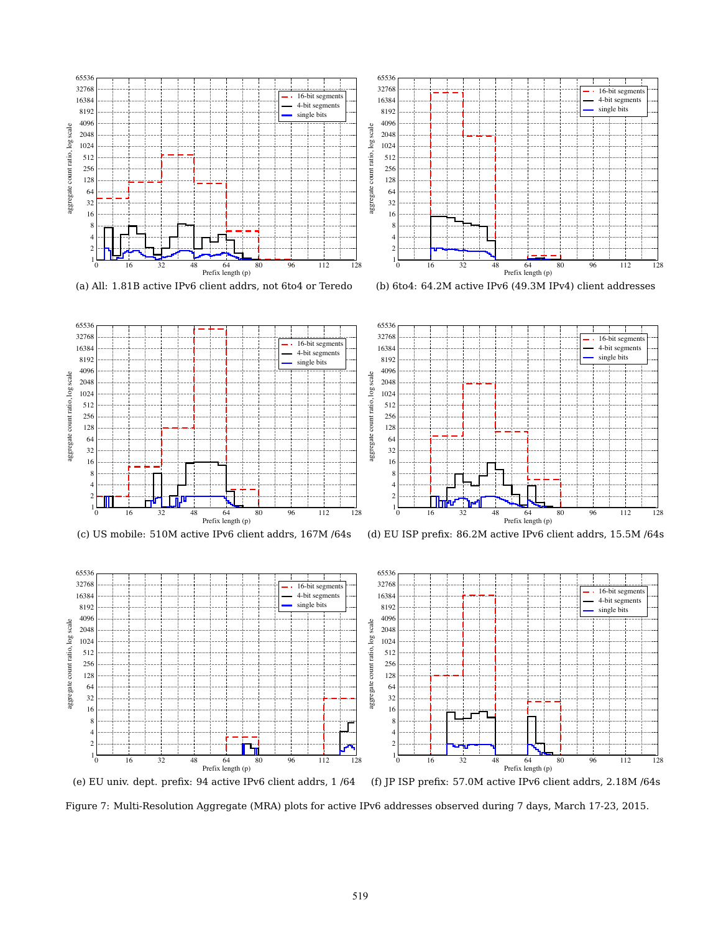

 -bit segment 4-bit segments single bits aggregate count ratio, log scale aggregate count ratio, log scale 16 32 48 64 80 96 112 128 Prefix length (p)

(a) All: 1.81B active IPv6 client addrs, not 6to4 or Teredo









(d) EU ISP prefix: 86.2M active IPv6 client addrs, 15.5M /64s



Figure 7: Multi-Resolution Aggregate (MRA) plots for active IPv6 addresses observed during 7 days, March 17-23, 2015.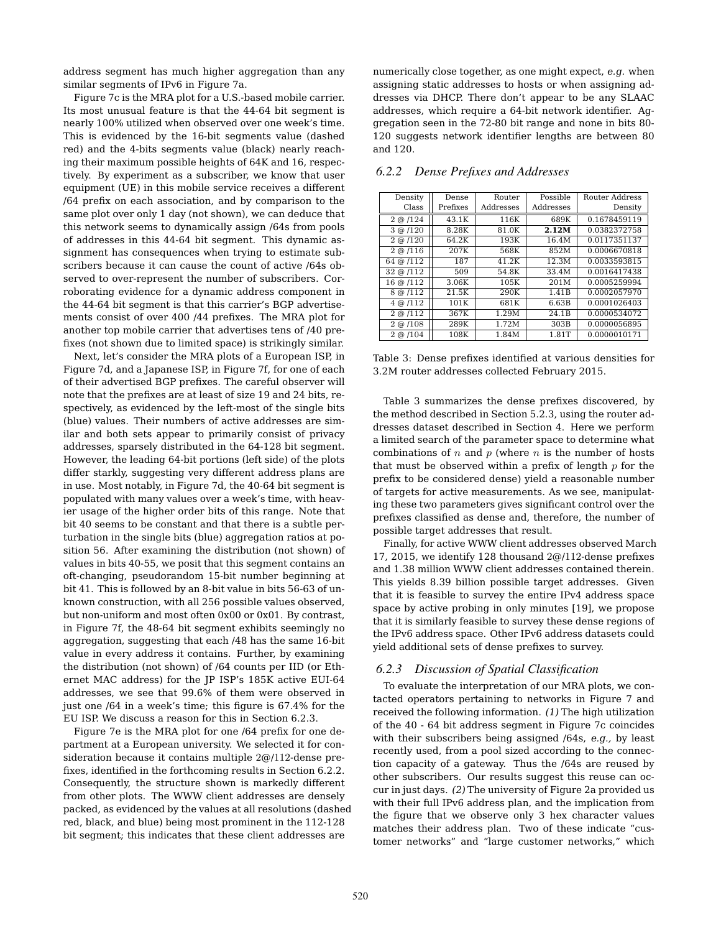address segment has much higher aggregation than any similar segments of IPv6 in Figure 7a.

Figure 7c is the MRA plot for a U.S.-based mobile carrier. Its most unusual feature is that the 44-64 bit segment is nearly 100% utilized when observed over one week's time. This is evidenced by the 16-bit segments value (dashed red) and the 4-bits segments value (black) nearly reaching their maximum possible heights of 64K and 16, respectively. By experiment as a subscriber, we know that user equipment (UE) in this mobile service receives a different /64 prefix on each association, and by comparison to the same plot over only 1 day (not shown), we can deduce that this network seems to dynamically assign /64s from pools of addresses in this 44-64 bit segment. This dynamic assignment has consequences when trying to estimate subscribers because it can cause the count of active /64s observed to over-represent the number of subscribers. Corroborating evidence for a dynamic address component in the 44-64 bit segment is that this carrier's BGP advertisements consist of over 400 /44 prefixes. The MRA plot for another top mobile carrier that advertises tens of /40 prefixes (not shown due to limited space) is strikingly similar.

Next, let's consider the MRA plots of a European ISP, in Figure 7d, and a Japanese ISP, in Figure 7f, for one of each of their advertised BGP prefixes. The careful observer will note that the prefixes are at least of size 19 and 24 bits, respectively, as evidenced by the left-most of the single bits (blue) values. Their numbers of active addresses are similar and both sets appear to primarily consist of privacy addresses, sparsely distributed in the 64-128 bit segment. However, the leading 64-bit portions (left side) of the plots differ starkly, suggesting very different address plans are in use. Most notably, in Figure 7d, the 40-64 bit segment is populated with many values over a week's time, with heavier usage of the higher order bits of this range. Note that bit 40 seems to be constant and that there is a subtle perturbation in the single bits (blue) aggregation ratios at position 56. After examining the distribution (not shown) of values in bits 40-55, we posit that this segment contains an oft-changing, pseudorandom 15-bit number beginning at bit 41. This is followed by an 8-bit value in bits 56-63 of unknown construction, with all 256 possible values observed, but non-uniform and most often 0x00 or 0x01. By contrast, in Figure 7f, the 48-64 bit segment exhibits seemingly no aggregation, suggesting that each /48 has the same 16-bit value in every address it contains. Further, by examining the distribution (not shown) of /64 counts per IID (or Ethernet MAC address) for the JP ISP's 185K active EUI-64 addresses, we see that 99.6% of them were observed in just one /64 in a week's time; this figure is 67.4% for the EU ISP. We discuss a reason for this in Section 6.2.3.

Figure 7e is the MRA plot for one /64 prefix for one department at a European university. We selected it for consideration because it contains multiple 2@/112-dense prefixes, identified in the forthcoming results in Section 6.2.2. Consequently, the structure shown is markedly different from other plots. The WWW client addresses are densely packed, as evidenced by the values at all resolutions (dashed red, black, and blue) being most prominent in the 112-128 bit segment; this indicates that these client addresses are

numerically close together, as one might expect, *e.g.* when assigning static addresses to hosts or when assigning addresses via DHCP. There don't appear to be any SLAAC addresses, which require a 64-bit network identifier. Aggregation seen in the 72-80 bit range and none in bits 80- 120 suggests network identifier lengths are between 80 and 120.

| Density          | Dense    | Router    | Possible  | Router Address |
|------------------|----------|-----------|-----------|----------------|
| Class            | Prefixes | Addresses | Addresses | Density        |
| $2 \odot 124$    | 43.1K    | 116K      | 689K      | 0.1678459119   |
| $3 \odot 120$    | 8.28K    | 81.0K     | 2.12M     | 0.0382372758   |
| $2 \odot 120$    | 64.2K    | 193K      | 16.4M     | 0.0117351137   |
| $2 \odot 116$    | 207K     | 568K      | 852M      | 0.0006670818   |
| 64 @ /112        | 187      | 41.2K     | 12.3M     | 0.0033593815   |
| 32 @ /112        | 509      | 54.8K     | 33.4M     | 0.0016417438   |
| 16 @ /112        | 3.06K    | 105K      | 201M      | 0.0005259994   |
| $8 \odot 112$    | 21.5K    | 290K      | 1.41B     | 0.0002057970   |
| $4 \odot 112$    | 101K     | 681K      | 6.63B     | 0.0001026403   |
| $2 \omega / 112$ | 367K     | 1.29M     | 24.1B     | 0.0000534072   |
| $2 \odot 108$    | 289K     | 1.72M     | 303B      | 0.0000056895   |
| $2 \omega / 104$ | 108K     | 1.84M     | 1.81T     | 0.0000010171   |

*6.2.2 Dense Prefixes and Addresses*

Table 3: Dense prefixes identified at various densities for 3.2M router addresses collected February 2015.

Table 3 summarizes the dense prefixes discovered, by the method described in Section 5.2.3, using the router addresses dataset described in Section 4. Here we perform a limited search of the parameter space to determine what combinations of *n* and *p* (where *n* is the number of hosts that must be observed within a prefix of length *p* for the prefix to be considered dense) yield a reasonable number of targets for active measurements. As we see, manipulating these two parameters gives significant control over the prefixes classified as dense and, therefore, the number of possible target addresses that result.

Finally, for active WWW client addresses observed March 17, 2015, we identify 128 thousand 2@/112-dense prefixes and 1.38 million WWW client addresses contained therein. This yields 8.39 billion possible target addresses. Given that it is feasible to survey the entire IPv4 address space space by active probing in only minutes [19], we propose that it is similarly feasible to survey these dense regions of the IPv6 address space. Other IPv6 address datasets could yield additional sets of dense prefixes to survey.

#### *6.2.3 Discussion of Spatial Classification*

To evaluate the interpretation of our MRA plots, we contacted operators pertaining to networks in Figure 7 and received the following information. *(1)* The high utilization of the 40 - 64 bit address segment in Figure 7c coincides with their subscribers being assigned /64s, *e.g.,* by least recently used, from a pool sized according to the connection capacity of a gateway. Thus the /64s are reused by other subscribers. Our results suggest this reuse can occur in just days. *(2)* The university of Figure 2a provided us with their full IPv6 address plan, and the implication from the figure that we observe only 3 hex character values matches their address plan. Two of these indicate "customer networks" and "large customer networks," which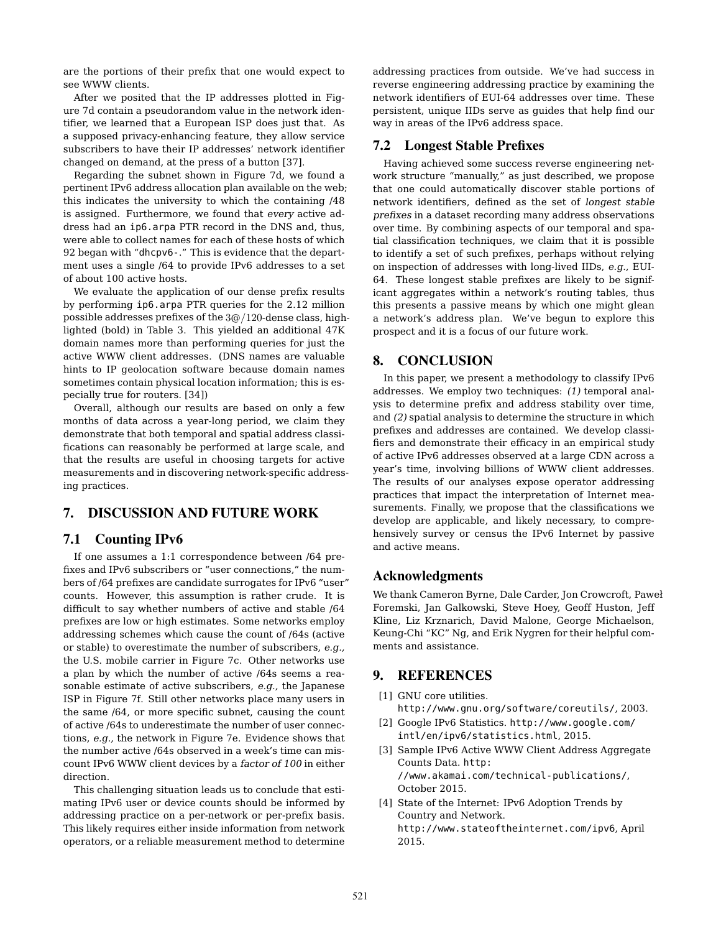are the portions of their prefix that one would expect to see WWW clients.

After we posited that the IP addresses plotted in Figure 7d contain a pseudorandom value in the network identifier, we learned that a European ISP does just that. As a supposed privacy-enhancing feature, they allow service subscribers to have their IP addresses' network identifier changed on demand, at the press of a button [37].

Regarding the subnet shown in Figure 7d, we found a pertinent IPv6 address allocation plan available on the web; this indicates the university to which the containing /48 is assigned. Furthermore, we found that *every* active address had an ip6.arpa PTR record in the DNS and, thus, were able to collect names for each of these hosts of which 92 began with "dhcpv6-." This is evidence that the department uses a single /64 to provide IPv6 addresses to a set of about 100 active hosts.

We evaluate the application of our dense prefix results by performing ip6.arpa PTR queries for the 2.12 million possible addresses prefixes of the 3@*/*120-dense class, highlighted (bold) in Table 3. This yielded an additional 47K domain names more than performing queries for just the active WWW client addresses. (DNS names are valuable hints to IP geolocation software because domain names sometimes contain physical location information; this is especially true for routers. [34])

Overall, although our results are based on only a few months of data across a year-long period, we claim they demonstrate that both temporal and spatial address classifications can reasonably be performed at large scale, and that the results are useful in choosing targets for active measurements and in discovering network-specific addressing practices.

# 7. DISCUSSION AND FUTURE WORK

# 7.1 Counting IPv6

If one assumes a 1:1 correspondence between /64 prefixes and IPv6 subscribers or "user connections," the numbers of /64 prefixes are candidate surrogates for IPv6 "user" counts. However, this assumption is rather crude. It is difficult to say whether numbers of active and stable /64 prefixes are low or high estimates. Some networks employ addressing schemes which cause the count of /64s (active or stable) to overestimate the number of subscribers, *e.g.,* the U.S. mobile carrier in Figure 7c. Other networks use a plan by which the number of active /64s seems a reasonable estimate of active subscribers, *e.g.,* the Japanese ISP in Figure 7f. Still other networks place many users in the same /64, or more specific subnet, causing the count of active /64s to underestimate the number of user connections, *e.g.,* the network in Figure 7e. Evidence shows that the number active /64s observed in a week's time can miscount IPv6 WWW client devices by a *factor of 100* in either direction.

This challenging situation leads us to conclude that estimating IPv6 user or device counts should be informed by addressing practice on a per-network or per-prefix basis. This likely requires either inside information from network operators, or a reliable measurement method to determine addressing practices from outside. We've had success in reverse engineering addressing practice by examining the network identifiers of EUI-64 addresses over time. These persistent, unique IIDs serve as guides that help find our way in areas of the IPv6 address space.

### 7.2 Longest Stable Prefixes

Having achieved some success reverse engineering network structure "manually," as just described, we propose that one could automatically discover stable portions of network identifiers, defined as the set of *longest stable prefixes* in a dataset recording many address observations over time. By combining aspects of our temporal and spatial classification techniques, we claim that it is possible to identify a set of such prefixes, perhaps without relying on inspection of addresses with long-lived IIDs, *e.g.,* EUI-64. These longest stable prefixes are likely to be significant aggregates within a network's routing tables, thus this presents a passive means by which one might glean a network's address plan. We've begun to explore this prospect and it is a focus of our future work.

#### 8. CONCLUSION

In this paper, we present a methodology to classify IPv6 addresses. We employ two techniques: *(1)* temporal analysis to determine prefix and address stability over time, and *(2)* spatial analysis to determine the structure in which prefixes and addresses are contained. We develop classifiers and demonstrate their efficacy in an empirical study of active IPv6 addresses observed at a large CDN across a year's time, involving billions of WWW client addresses. The results of our analyses expose operator addressing practices that impact the interpretation of Internet measurements. Finally, we propose that the classifications we develop are applicable, and likely necessary, to comprehensively survey or census the IPv6 Internet by passive and active means.

#### Acknowledgments

We thank Cameron Byrne, Dale Carder, Jon Crowcroft, Pawe Foremski, Jan Galkowski, Steve Hoey, Geoff Huston, Jeff Kline, Liz Krznarich, David Malone, George Michaelson, Keung-Chi "KC" Ng, and Erik Nygren for their helpful comments and assistance.

# 9. REFERENCES

- [1] GNU core utilities. http://www.gnu.org/software/coreutils/, 2003.
- [2] Google IPv6 Statistics. http://www.google.com/ intl/en/ipv6/statistics.html, 2015.
- [3] Sample IPv6 Active WWW Client Address Aggregate Counts Data. http: //www.akamai.com/technical-publications/, October 2015.
- [4] State of the Internet: IPv6 Adoption Trends by Country and Network. http://www.stateoftheinternet.com/ipv6, April 2015.